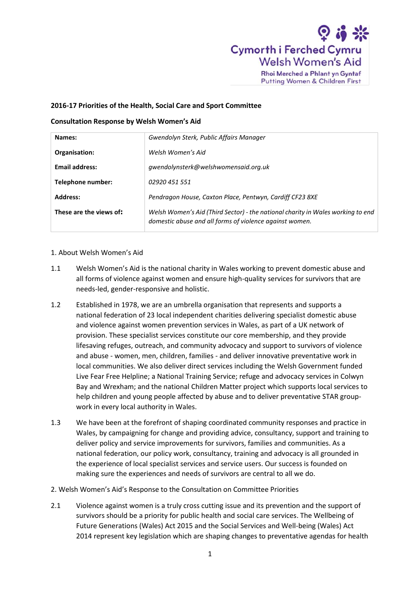

Rhoi Merched a Phlant yn Gyntaf Putting Women & Children First

## **2016-17 Priorities of the Health, Social Care and Sport Committee**

## **Consultation Response by Welsh Women's Aid**

| Names:                  | Gwendolyn Sterk, Public Affairs Manager                                                                                                    |
|-------------------------|--------------------------------------------------------------------------------------------------------------------------------------------|
| Organisation:           | Welsh Women's Aid                                                                                                                          |
| <b>Email address:</b>   | gwendolynsterk@welshwomensaid.org.uk                                                                                                       |
| Telephone number:       | 02920 451 551                                                                                                                              |
| Address:                | Pendragon House, Caxton Place, Pentwyn, Cardiff CF23 8XE                                                                                   |
| These are the views of: | Welsh Women's Aid (Third Sector) - the national charity in Wales working to end<br>domestic abuse and all forms of violence against women. |

## 1. About Welsh Women's Aid

- 1.1 Welsh Women's Aid is the national charity in Wales working to prevent domestic abuse and all forms of violence against women and ensure high-quality services for survivors that are needs-led, gender-responsive and holistic.
- 1.2 Established in 1978, we are an umbrella organisation that represents and supports a national federation of 23 local independent charities delivering specialist domestic abuse and violence against women prevention services in Wales, as part of a UK network of provision. These specialist services constitute our core membership, and they provide lifesaving refuges, outreach, and community advocacy and support to survivors of violence and abuse - women, men, children, families - and deliver innovative preventative work in local communities. We also deliver direct services including the Welsh Government funded Live Fear Free Helpline; a National Training Service; refuge and advocacy services in Colwyn Bay and Wrexham; and the national Children Matter project which supports local services to help children and young people affected by abuse and to deliver preventative STAR groupwork in every local authority in Wales.
- 1.3 We have been at the forefront of shaping coordinated community responses and practice in Wales, by campaigning for change and providing advice, consultancy, support and training to deliver policy and service improvements for survivors, families and communities. As a national federation, our policy work, consultancy, training and advocacy is all grounded in the experience of local specialist services and service users. Our success is founded on making sure the experiences and needs of survivors are central to all we do.
- 2. Welsh Women's Aid's Response to the Consultation on Committee Priorities
- 2.1 Violence against women is a truly cross cutting issue and its prevention and the support of survivors should be a priority for public health and social care services. The Wellbeing of Future Generations (Wales) Act 2015 and the Social Services and Well-being (Wales) Act 2014 represent key legislation which are shaping changes to preventative agendas for health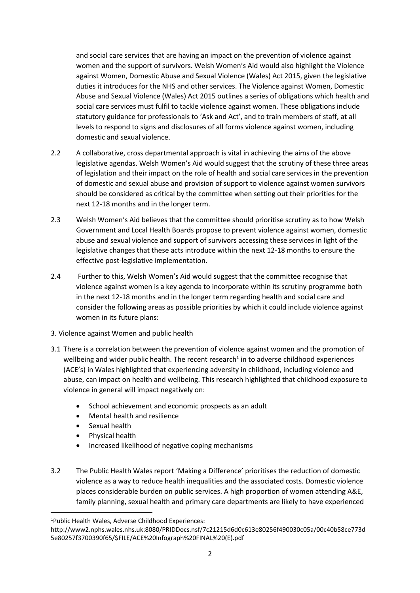and social care services that are having an impact on the prevention of violence against women and the support of survivors. Welsh Women's Aid would also highlight the Violence against Women, Domestic Abuse and Sexual Violence (Wales) Act 2015, given the legislative duties it introduces for the NHS and other services. The Violence against Women, Domestic Abuse and Sexual Violence (Wales) Act 2015 outlines a series of obligations which health and social care services must fulfil to tackle violence against women. These obligations include statutory guidance for professionals to 'Ask and Act', and to train members of staff, at all levels to respond to signs and disclosures of all forms violence against women, including domestic and sexual violence.

- 2.2 A collaborative, cross departmental approach is vital in achieving the aims of the above legislative agendas. Welsh Women's Aid would suggest that the scrutiny of these three areas of legislation and their impact on the role of health and social care services in the prevention of domestic and sexual abuse and provision of support to violence against women survivors should be considered as critical by the committee when setting out their priorities for the next 12-18 months and in the longer term.
- 2.3 Welsh Women's Aid believes that the committee should prioritise scrutiny as to how Welsh Government and Local Health Boards propose to prevent violence against women, domestic abuse and sexual violence and support of survivors accessing these services in light of the legislative changes that these acts introduce within the next 12-18 months to ensure the effective post-legislative implementation.
- 2.4 Further to this, Welsh Women's Aid would suggest that the committee recognise that violence against women is a key agenda to incorporate within its scrutiny programme both in the next 12-18 months and in the longer term regarding health and social care and consider the following areas as possible priorities by which it could include violence against women in its future plans:
- 3. Violence against Women and public health
- 3.1 There is a correlation between the prevention of violence against women and the promotion of wellbeing and wider public health. The recent research<sup>1</sup> in to adverse childhood experiences (ACE's) in Wales highlighted that experiencing adversity in childhood, including violence and abuse, can impact on health and wellbeing. This research highlighted that childhood exposure to violence in general will impact negatively on:
	- School achievement and economic prospects as an adult
	- Mental health and resilience
	- Sexual health

**.** 

- Physical health
- Increased likelihood of negative coping mechanisms
- 3.2 The Public Health Wales report 'Making a Difference' prioritises the reduction of domestic violence as a way to reduce health inequalities and the associated costs. Domestic violence places considerable burden on public services. A high proportion of women attending A&E, family planning, sexual health and primary care departments are likely to have experienced

<sup>1</sup>Public Health Wales, Adverse Childhood Experiences:

http://www2.nphs.wales.nhs.uk:8080/PRIDDocs.nsf/7c21215d6d0c613e80256f490030c05a/00c40b58ce773d 5e80257f3700390f65/\$FILE/ACE%20Infograph%20FINAL%20(E).pdf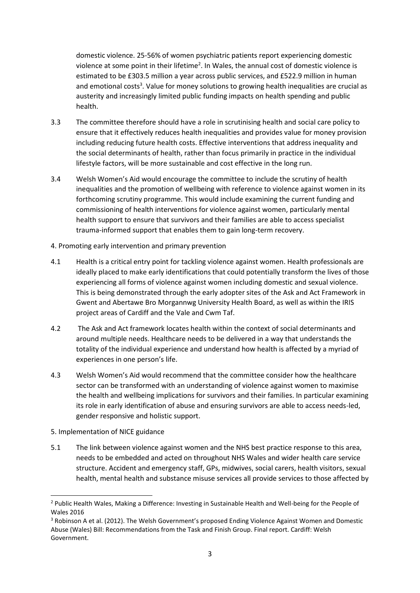domestic violence. 25-56% of women psychiatric patients report experiencing domestic violence at some point in their lifetime<sup>2</sup>. In Wales, the annual cost of domestic violence is estimated to be £303.5 million a year across public services, and £522.9 million in human and emotional costs<sup>3</sup>. Value for money solutions to growing health inequalities are crucial as austerity and increasingly limited public funding impacts on health spending and public health.

- 3.3 The committee therefore should have a role in scrutinising health and social care policy to ensure that it effectively reduces health inequalities and provides value for money provision including reducing future health costs. Effective interventions that address inequality and the social determinants of health, rather than focus primarily in practice in the individual lifestyle factors, will be more sustainable and cost effective in the long run.
- 3.4 Welsh Women's Aid would encourage the committee to include the scrutiny of health inequalities and the promotion of wellbeing with reference to violence against women in its forthcoming scrutiny programme. This would include examining the current funding and commissioning of health interventions for violence against women, particularly mental health support to ensure that survivors and their families are able to access specialist trauma-informed support that enables them to gain long-term recovery.
- 4. Promoting early intervention and primary prevention
- 4.1 Health is a critical entry point for tackling violence against women. Health professionals are ideally placed to make early identifications that could potentially transform the lives of those experiencing all forms of violence against women including domestic and sexual violence. This is being demonstrated through the early adopter sites of the Ask and Act Framework in Gwent and Abertawe Bro Morgannwg University Health Board, as well as within the IRIS project areas of Cardiff and the Vale and Cwm Taf.
- 4.2 The Ask and Act framework locates health within the context of social determinants and around multiple needs. Healthcare needs to be delivered in a way that understands the totality of the individual experience and understand how health is affected by a myriad of experiences in one person's life.
- 4.3 Welsh Women's Aid would recommend that the committee consider how the healthcare sector can be transformed with an understanding of violence against women to maximise the health and wellbeing implications for survivors and their families. In particular examining its role in early identification of abuse and ensuring survivors are able to access needs-led, gender responsive and holistic support.
- 5. Implementation of NICE guidance

 $\overline{a}$ 

5.1 The link between violence against women and the NHS best practice response to this area, needs to be embedded and acted on throughout NHS Wales and wider health care service structure. Accident and emergency staff, GPs, midwives, social carers, health visitors, sexual health, mental health and substance misuse services all provide services to those affected by

<sup>&</sup>lt;sup>2</sup> Public Health Wales, Making a Difference: Investing in Sustainable Health and Well-being for the People of Wales 2016

<sup>&</sup>lt;sup>3</sup> Robinson A et al. (2012). The Welsh Government's proposed Ending Violence Against Women and Domestic Abuse (Wales) Bill: Recommendations from the Task and Finish Group. Final report. Cardiff: Welsh Government.